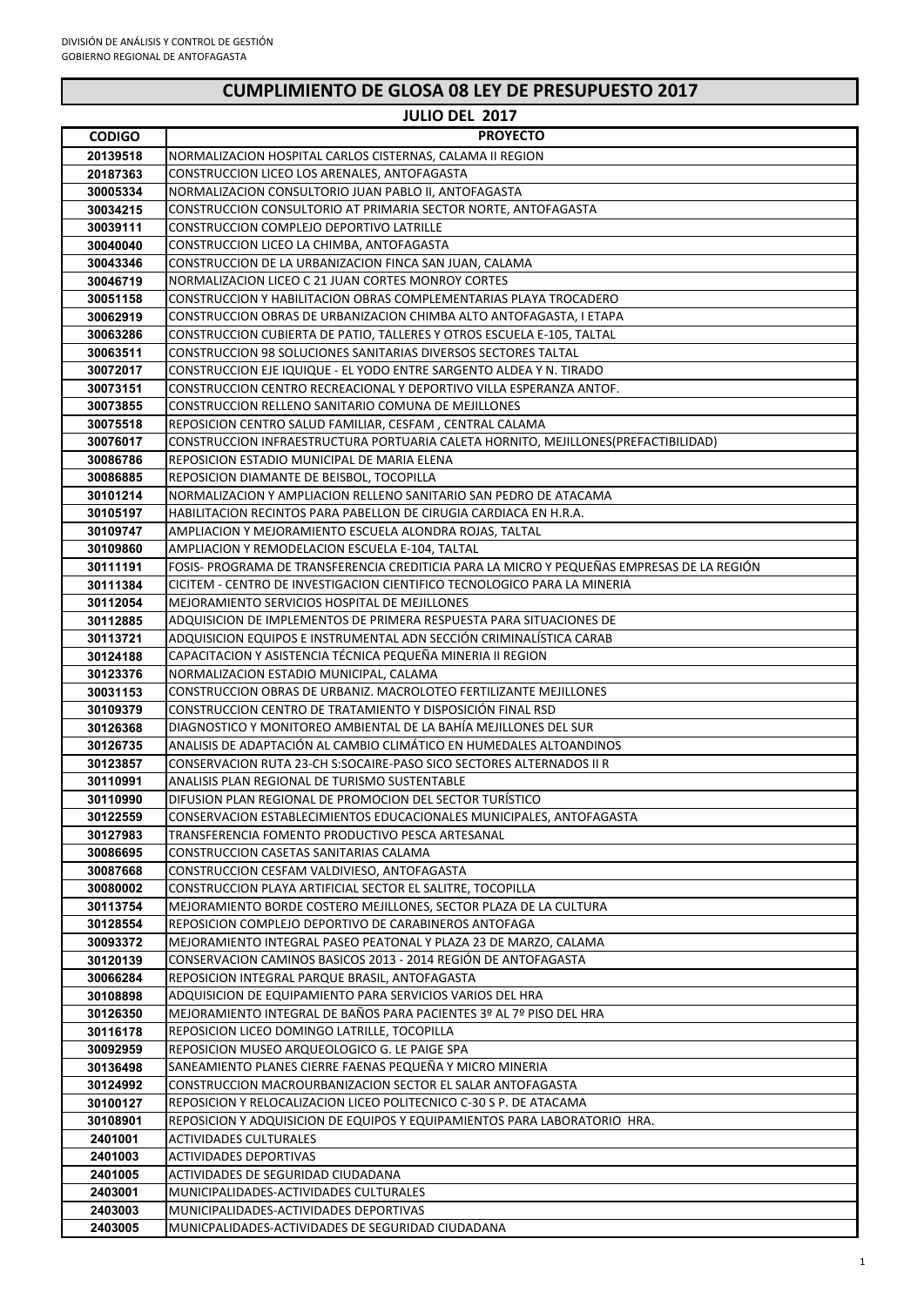### **JULIO DEL 2017**

| <b>CODIGO</b> | <b>PROYECTO</b>                                                                            |
|---------------|--------------------------------------------------------------------------------------------|
| 20139518      | NORMALIZACION HOSPITAL CARLOS CISTERNAS, CALAMA II REGION                                  |
| 20187363      | CONSTRUCCION LICEO LOS ARENALES, ANTOFAGASTA                                               |
| 30005334      | NORMALIZACION CONSULTORIO JUAN PABLO II, ANTOFAGASTA                                       |
| 30034215      | CONSTRUCCION CONSULTORIO AT PRIMARIA SECTOR NORTE, ANTOFAGASTA                             |
| 30039111      | CONSTRUCCION COMPLEJO DEPORTIVO LATRILLE                                                   |
| 30040040      | CONSTRUCCION LICEO LA CHIMBA, ANTOFAGASTA                                                  |
| 30043346      | CONSTRUCCION DE LA URBANIZACION FINCA SAN JUAN, CALAMA                                     |
| 30046719      | NORMALIZACION LICEO C 21 JUAN CORTES MONROY CORTES                                         |
| 30051158      | CONSTRUCCION Y HABILITACION OBRAS COMPLEMENTARIAS PLAYA TROCADERO                          |
|               |                                                                                            |
| 30062919      | CONSTRUCCION OBRAS DE URBANIZACION CHIMBA ALTO ANTOFAGASTA, I ETAPA                        |
| 30063286      | CONSTRUCCION CUBIERTA DE PATIO, TALLERES Y OTROS ESCUELA E-105, TALTAL                     |
| 30063511      | CONSTRUCCION 98 SOLUCIONES SANITARIAS DIVERSOS SECTORES TALTAL                             |
| 30072017      | CONSTRUCCION EJE IQUIQUE - EL YODO ENTRE SARGENTO ALDEA Y N. TIRADO                        |
| 30073151      | CONSTRUCCION CENTRO RECREACIONAL Y DEPORTIVO VILLA ESPERANZA ANTOF.                        |
| 30073855      | CONSTRUCCION RELLENO SANITARIO COMUNA DE MEJILLONES                                        |
| 30075518      | REPOSICION CENTRO SALUD FAMILIAR, CESFAM , CENTRAL CALAMA                                  |
| 30076017      | CONSTRUCCION INFRAESTRUCTURA PORTUARIA CALETA HORNITO, MEJILLONES(PREFACTIBILIDAD)         |
| 30086786      | REPOSICION ESTADIO MUNICIPAL DE MARIA ELENA                                                |
| 30086885      | REPOSICION DIAMANTE DE BEISBOL, TOCOPILLA                                                  |
| 30101214      | NORMALIZACION Y AMPLIACION RELLENO SANITARIO SAN PEDRO DE ATACAMA                          |
| 30105197      | HABILITACION RECINTOS PARA PABELLON DE CIRUGIA CARDIACA EN H.R.A.                          |
| 30109747      | AMPLIACION Y MEJORAMIENTO ESCUELA ALONDRA ROJAS, TALTAL                                    |
| 30109860      | AMPLIACION Y REMODELACION ESCUELA E-104, TALTAL                                            |
| 30111191      | FOSIS- PROGRAMA DE TRANSFERENCIA CREDITICIA PARA LA MICRO Y PEQUEÑAS EMPRESAS DE LA REGIÓN |
| 30111384      | CICITEM - CENTRO DE INVESTIGACION CIENTIFICO TECNOLOGICO PARA LA MINERIA                   |
| 30112054      | MEJORAMIENTO SERVICIOS HOSPITAL DE MEJILLONES                                              |
| 30112885      | ADQUISICION DE IMPLEMENTOS DE PRIMERA RESPUESTA PARA SITUACIONES DE                        |
|               |                                                                                            |
| 30113721      | ADQUISICION EQUIPOS E INSTRUMENTAL ADN SECCIÓN CRIMINALÍSTICA CARAB                        |
| 30124188      | CAPACITACION Y ASISTENCIA TÉCNICA PEQUEÑA MINERIA II REGION                                |
| 30123376      | NORMALIZACION ESTADIO MUNICIPAL, CALAMA                                                    |
| 30031153      | CONSTRUCCION OBRAS DE URBANIZ. MACROLOTEO FERTILIZANTE MEJILLONES                          |
| 30109379      | CONSTRUCCION CENTRO DE TRATAMIENTO Y DISPOSICIÓN FINAL RSD                                 |
| 30126368      | DIAGNOSTICO Y MONITOREO AMBIENTAL DE LA BAHÍA MEJILLONES DEL SUR                           |
| 30126735      | ANALISIS DE ADAPTACIÓN AL CAMBIO CLIMÁTICO EN HUMEDALES ALTOANDINOS                        |
| 30123857      | CONSERVACION RUTA 23-CH S:SOCAIRE-PASO SICO SECTORES ALTERNADOS II R                       |
| 30110991      | ANALISIS PLAN REGIONAL DE TURISMO SUSTENTABLE                                              |
| 30110990      | DIFUSION PLAN REGIONAL DE PROMOCION DEL SECTOR TURÍSTICO                                   |
| 30122559      | CONSERVACION ESTABLECIMIENTOS EDUCACIONALES MUNICIPALES, ANTOFAGASTA                       |
| 30127983      | TRANSFERENCIA FOMENTO PRODUCTIVO PESCA ARTESANAL                                           |
| 30086695      | CONSTRUCCION CASETAS SANITARIAS CALAMA                                                     |
| 30087668      | CONSTRUCCION CESFAM VALDIVIESO, ANTOFAGASTA                                                |
| 30080002      | CONSTRUCCION PLAYA ARTIFICIAL SECTOR EL SALITRE, TOCOPILLA                                 |
| 30113754      | MEJORAMIENTO BORDE COSTERO MEJILLONES, SECTOR PLAZA DE LA CULTURA                          |
| 30128554      | REPOSICION COMPLEJO DEPORTIVO DE CARABINEROS ANTOFAGA                                      |
| 30093372      | MEJORAMIENTO INTEGRAL PASEO PEATONAL Y PLAZA 23 DE MARZO, CALAMA                           |
| 30120139      | CONSERVACION CAMINOS BASICOS 2013 - 2014 REGIÓN DE ANTOFAGASTA                             |
| 30066284      | REPOSICION INTEGRAL PARQUE BRASIL, ANTOFAGASTA                                             |
| 30108898      | ADQUISICION DE EQUIPAMIENTO PARA SERVICIOS VARIOS DEL HRA                                  |
| 30126350      | MEJORAMIENTO INTEGRAL DE BAÑOS PARA PACIENTES 3º AL 7º PISO DEL HRA                        |
| 30116178      | REPOSICION LICEO DOMINGO LATRILLE, TOCOPILLA                                               |
| 30092959      | REPOSICION MUSEO ARQUEOLOGICO G. LE PAIGE SPA                                              |
| 30136498      | SANEAMIENTO PLANES CIERRE FAENAS PEQUEÑA Y MICRO MINERIA                                   |
| 30124992      | CONSTRUCCION MACROURBANIZACION SECTOR EL SALAR ANTOFAGASTA                                 |
|               |                                                                                            |
| 30100127      | REPOSICION Y RELOCALIZACION LICEO POLITECNICO C-30 S P. DE ATACAMA                         |
| 30108901      | REPOSICION Y ADQUISICION DE EQUIPOS Y EQUIPAMIENTOS PARA LABORATORIO HRA.                  |
| 2401001       | ACTIVIDADES CULTURALES                                                                     |
| 2401003       | ACTIVIDADES DEPORTIVAS                                                                     |
| 2401005       | ACTIVIDADES DE SEGURIDAD CIUDADANA                                                         |
| 2403001       | MUNICIPALIDADES-ACTIVIDADES CULTURALES                                                     |
| 2403003       | MUNICIPALIDADES-ACTIVIDADES DEPORTIVAS                                                     |
| 2403005       | MUNICPALIDADES-ACTIVIDADES DE SEGURIDAD CIUDADANA                                          |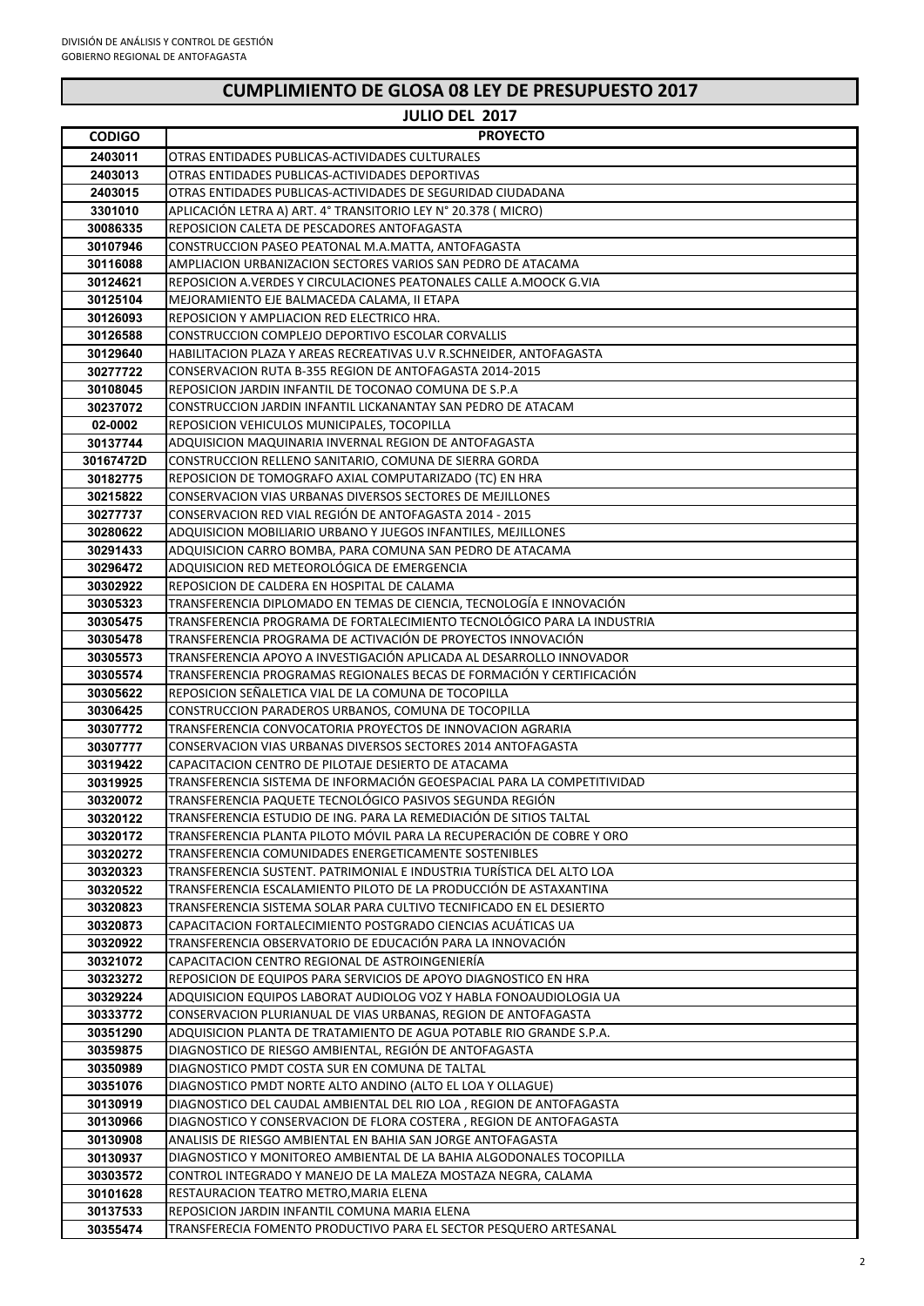| CUMPLIMIENTO DE GLOSA 08 LEY DE PRESUPUESTO 2017 |                                                                                                                                      |  |
|--------------------------------------------------|--------------------------------------------------------------------------------------------------------------------------------------|--|
|                                                  | <b>JULIO DEL 2017</b>                                                                                                                |  |
| <b>CODIGO</b>                                    | <b>PROYECTO</b>                                                                                                                      |  |
| 2403011                                          | OTRAS ENTIDADES PUBLICAS-ACTIVIDADES CULTURALES                                                                                      |  |
| 2403013                                          | OTRAS ENTIDADES PUBLICAS-ACTIVIDADES DEPORTIVAS                                                                                      |  |
| 2403015                                          | OTRAS ENTIDADES PUBLICAS-ACTIVIDADES DE SEGURIDAD CIUDADANA                                                                          |  |
| 3301010                                          | APLICACIÓN LETRA A) ART. 4º TRANSITORIO LEY Nº 20.378 ( MICRO)                                                                       |  |
| 30086335                                         | REPOSICION CALETA DE PESCADORES ANTOFAGASTA                                                                                          |  |
| 30107946                                         | CONSTRUCCION PASEO PEATONAL M.A.MATTA, ANTOFAGASTA                                                                                   |  |
| 30116088                                         | AMPLIACION URBANIZACION SECTORES VARIOS SAN PEDRO DE ATACAMA                                                                         |  |
| 30124621                                         | REPOSICION A.VERDES Y CIRCULACIONES PEATONALES CALLE A.MOOCK G.VIA                                                                   |  |
| 30125104                                         | MEJORAMIENTO EJE BALMACEDA CALAMA, II ETAPA                                                                                          |  |
| 30126093                                         | REPOSICION Y AMPLIACION RED ELECTRICO HRA.                                                                                           |  |
| 30126588                                         | CONSTRUCCION COMPLEJO DEPORTIVO ESCOLAR CORVALLIS                                                                                    |  |
| 30129640                                         | HABILITACION PLAZA Y AREAS RECREATIVAS U.V R.SCHNEIDER, ANTOFAGASTA                                                                  |  |
| 30277722                                         | CONSERVACION RUTA B-355 REGION DE ANTOFAGASTA 2014-2015                                                                              |  |
| 30108045                                         | REPOSICION JARDIN INFANTIL DE TOCONAO COMUNA DE S.P.A                                                                                |  |
| 30237072                                         | CONSTRUCCION JARDIN INFANTIL LICKANANTAY SAN PEDRO DE ATACAM                                                                         |  |
| 02-0002                                          | REPOSICION VEHICULOS MUNICIPALES, TOCOPILLA                                                                                          |  |
| 30137744                                         | ADQUISICION MAQUINARIA INVERNAL REGION DE ANTOFAGASTA                                                                                |  |
| 30167472D                                        | CONSTRUCCION RELLENO SANITARIO, COMUNA DE SIERRA GORDA                                                                               |  |
| 30182775                                         | REPOSICION DE TOMOGRAFO AXIAL COMPUTARIZADO (TC) EN HRA                                                                              |  |
| 30215822                                         | CONSERVACION VIAS URBANAS DIVERSOS SECTORES DE MEJILLONES                                                                            |  |
| 30277737                                         | CONSERVACION RED VIAL REGION DE ANTOFAGASTA 2014 - 2015                                                                              |  |
| 30280622                                         | ADQUISICION MOBILIARIO URBANO Y JUEGOS INFANTILES, MEJILLONES                                                                        |  |
| 30291433                                         | ADQUISICION CARRO BOMBA, PARA COMUNA SAN PEDRO DE ATACAMA                                                                            |  |
| 30296472                                         | ADQUISICION RED METEOROLOGICA DE EMERGENCIA                                                                                          |  |
| 30302922                                         | REPOSICION DE CALDERA EN HOSPITAL DE CALAMA                                                                                          |  |
| 30305323                                         | TRANSFERENCIA DIPLOMADO EN TEMAS DE CIENCIA, TECNOLOGIA E INNOVACIÓN                                                                 |  |
| 30305475                                         | TRANSFERENCIA PROGRAMA DE FORTALECIMIENTO TECNOLÓGICO PARA LA INDUSTRIA                                                              |  |
| 30305478                                         | TRANSFERENCIA PROGRAMA DE ACTIVACIÓN DE PROYECTOS INNOVACIÓN<br>TRANSFERENCIA APOYO A INVESTIGACIÓN APLICADA AL DESARROLLO INNOVADOR |  |
| 30305573<br>30305574                             | TRANSFERENCIA PROGRAMAS REGIONALES BECAS DE FORMACION Y CERTIFICACION                                                                |  |
| 30305622                                         | REPOSICION SEÑALETICA VIAL DE LA COMUNA DE TOCOPILLA                                                                                 |  |
| 30306425                                         | CONSTRUCCION PARADEROS URBANOS, COMUNA DE TOCOPILLA                                                                                  |  |
| 30307772                                         | TRANSFERENCIA CONVOCATORIA PROYECTOS DE INNOVACION AGRARIA                                                                           |  |
| 30307777                                         | CONSERVACION VIAS URBANAS DIVERSOS SECTORES 2014 ANTOFAGASTA                                                                         |  |
| 30319422                                         | CAPACITACION CENTRO DE PILOTAJE DESIERTO DE ATACAMA                                                                                  |  |
| 30319925                                         | TRANSFERENCIA SISTEMA DE INFORMACIÓN GEOESPACIAL PARA LA COMPETITIVIDAD                                                              |  |
| 30320072                                         | TRANSFERENCIA PAQUETE TECNOLOGICO PASIVOS SEGUNDA REGION                                                                             |  |
| 30320122                                         | TRANSFERENCIA ESTUDIO DE ING. PARA LA REMEDIACIÓN DE SITIOS TALTAL                                                                   |  |
| 30320172                                         | TRANSFERENCIA PLANTA PILOTO MÓVIL PARA LA RECUPERACIÓN DE COBRE Y ORO                                                                |  |
| 30320272                                         | TRANSFERENCIA COMUNIDADES ENERGETICAMENTE SOSTENIBLES                                                                                |  |
| 30320323                                         | TRANSFERENCIA SUSTENT. PATRIMONIAL E INDUSTRIA TURÍSTICA DEL ALTO LOA                                                                |  |
| 30320522                                         | TRANSFERENCIA ESCALAMIENTO PILOTO DE LA PRODUCCION DE ASTAXANTINA                                                                    |  |
| 30320823                                         | TRANSFERENCIA SISTEMA SOLAR PARA CULTIVO TECNIFICADO EN EL DESIERTO                                                                  |  |
| 30320873                                         | CAPACITACION FORTALECIMIENTO POSTGRADO CIENCIAS ACUÁTICAS UA                                                                         |  |
| 30320922                                         | TRANSFERENCIA OBSERVATORIO DE EDUCACIÓN PARA LA INNOVACIÓN                                                                           |  |
| 30321072                                         | CAPACITACION CENTRO REGIONAL DE ASTROINGENIERÍA                                                                                      |  |
|                                                  |                                                                                                                                      |  |

| 30320922 | TRANSFERENCIA OBSERVATORIO DE EDUCACIÓN PARA LA INNOVACIÓN           |
|----------|----------------------------------------------------------------------|
| 30321072 | CAPACITACION CENTRO REGIONAL DE ASTROINGENIERÍA                      |
| 30323272 | REPOSICION DE EQUIPOS PARA SERVICIOS DE APOYO DIAGNOSTICO EN HRA     |
| 30329224 | ADQUISICION EQUIPOS LABORAT AUDIOLOG VOZ Y HABLA FONOAUDIOLOGIA UA   |
| 30333772 | CONSERVACION PLURIANUAL DE VIAS URBANAS, REGION DE ANTOFAGASTA       |
| 30351290 | ADQUISICION PLANTA DE TRATAMIENTO DE AGUA POTABLE RIO GRANDE S.P.A.  |
| 30359875 | DIAGNOSTICO DE RIESGO AMBIENTAL, REGIÓN DE ANTOFAGASTA               |
| 30350989 | DIAGNOSTICO PMDT COSTA SUR EN COMUNA DE TALTAL                       |
| 30351076 | DIAGNOSTICO PMDT NORTE ALTO ANDINO (ALTO EL LOA Y OLLAGUE)           |
| 30130919 | DIAGNOSTICO DEL CAUDAL AMBIENTAL DEL RIO LOA , REGION DE ANTOFAGASTA |
| 30130966 | DIAGNOSTICO Y CONSERVACION DE FLORA COSTERA, REGION DE ANTOFAGASTA   |
| 30130908 | ANALISIS DE RIESGO AMBIENTAL EN BAHIA SAN JORGE ANTOFAGASTA          |
| 30130937 | DIAGNOSTICO Y MONITOREO AMBIENTAL DE LA BAHIA ALGODONALES TOCOPILLA  |
| 30303572 | CONTROL INTEGRADO Y MANEJO DE LA MALEZA MOSTAZA NEGRA, CALAMA        |
| 30101628 | RESTAURACION TEATRO METRO, MARIA ELENA                               |
| 30137533 | REPOSICION JARDIN INFANTIL COMUNA MARIA ELENA                        |
| 30355474 | TRANSFERECIA FOMENTO PRODUCTIVO PARA EL SECTOR PESQUERO ARTESANAL    |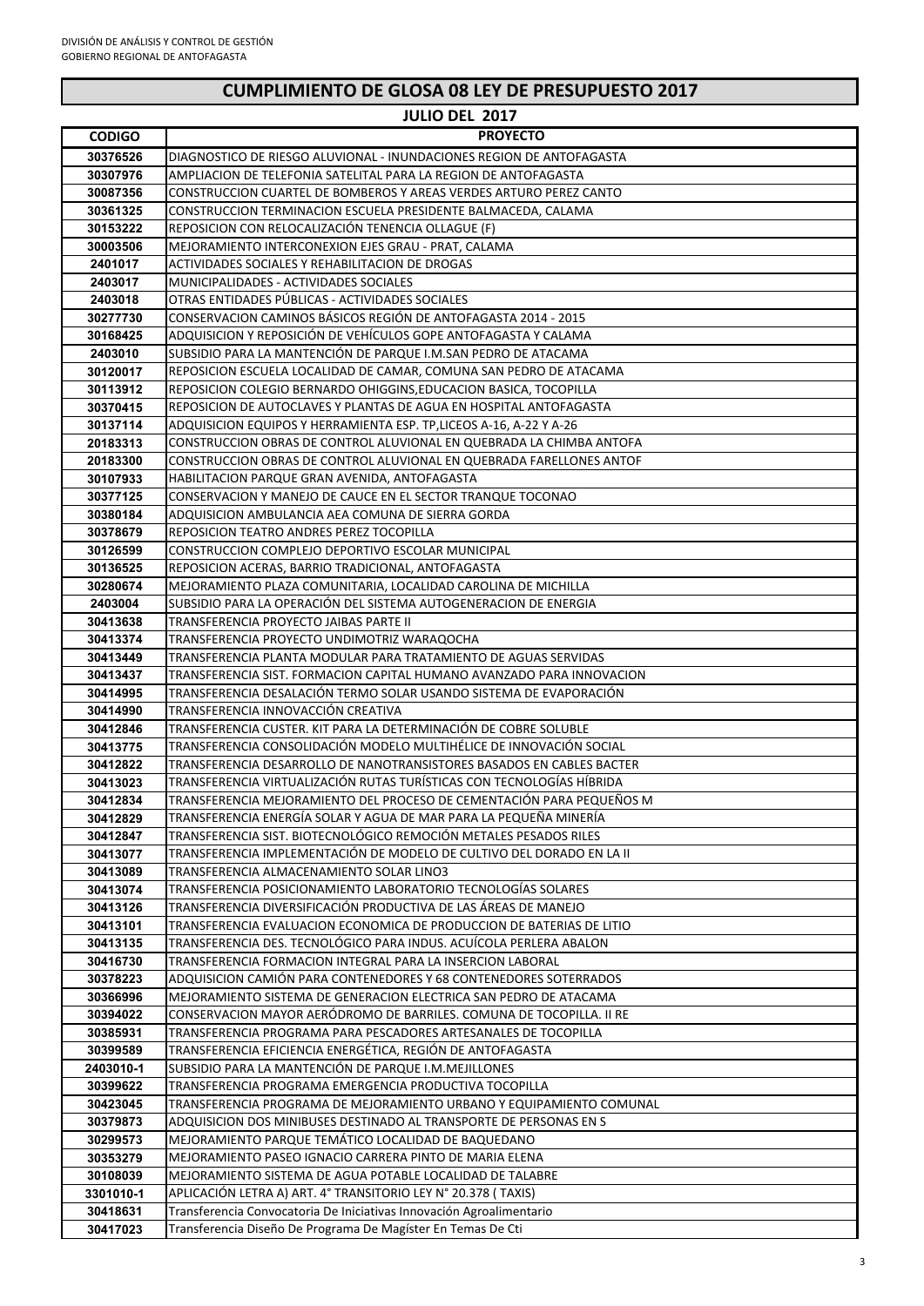| JULIO DEL 2017       |                                                                                                                                           |  |
|----------------------|-------------------------------------------------------------------------------------------------------------------------------------------|--|
| <b>CODIGO</b>        | <b>PROYECTO</b>                                                                                                                           |  |
| 30376526             | DIAGNOSTICO DE RIESGO ALUVIONAL - INUNDACIONES REGION DE ANTOFAGASTA                                                                      |  |
| 30307976             | AMPLIACION DE TELEFONIA SATELITAL PARA LA REGION DE ANTOFAGASTA                                                                           |  |
| 30087356             | CONSTRUCCION CUARTEL DE BOMBEROS Y AREAS VERDES ARTURO PEREZ CANTO                                                                        |  |
| 30361325             | CONSTRUCCION TERMINACION ESCUELA PRESIDENTE BALMACEDA, CALAMA                                                                             |  |
| 30153222             | REPOSICION CON RELOCALIZACIÓN TENENCIA OLLAGUE (F)                                                                                        |  |
| 30003506             | MEJORAMIENTO INTERCONEXION EJES GRAU - PRAT, CALAMA                                                                                       |  |
| 2401017              | ACTIVIDADES SOCIALES Y REHABILITACION DE DROGAS                                                                                           |  |
| 2403017              | MUNICIPALIDADES - ACTIVIDADES SOCIALES                                                                                                    |  |
| 2403018              | OTRAS ENTIDADES PÚBLICAS - ACTIVIDADES SOCIALES                                                                                           |  |
| 30277730             | CONSERVACION CAMINOS BÁSICOS REGIÓN DE ANTOFAGASTA 2014 - 2015                                                                            |  |
| 30168425             | ADQUISICION Y REPOSICIÓN DE VEHÍCULOS GOPE ANTOFAGASTA Y CALAMA                                                                           |  |
| 2403010              | SUBSIDIO PARA LA MANTENCIÓN DE PARQUE I.M.SAN PEDRO DE ATACAMA                                                                            |  |
| 30120017             | REPOSICION ESCUELA LOCALIDAD DE CAMAR, COMUNA SAN PEDRO DE ATACAMA                                                                        |  |
| 30113912             | REPOSICION COLEGIO BERNARDO OHIGGINS, EDUCACION BASICA, TOCOPILLA                                                                         |  |
| 30370415             | REPOSICION DE AUTOCLAVES Y PLANTAS DE AGUA EN HOSPITAL ANTOFAGASTA                                                                        |  |
| 30137114             | ADQUISICION EQUIPOS Y HERRAMIENTA ESP. TP, LICEOS A-16, A-22 Y A-26                                                                       |  |
| 20183313             | CONSTRUCCION OBRAS DE CONTROL ALUVIONAL EN QUEBRADA LA CHIMBA ANTOFA                                                                      |  |
| 20183300             | CONSTRUCCION OBRAS DE CONTROL ALUVIONAL EN QUEBRADA FARELLONES ANTOF                                                                      |  |
| 30107933             | HABILITACION PARQUE GRAN AVENIDA, ANTOFAGASTA                                                                                             |  |
| 30377125             | CONSERVACION Y MANEJO DE CAUCE EN EL SECTOR TRANQUE TOCONAO                                                                               |  |
| 30380184             | ADQUISICION AMBULANCIA AEA COMUNA DE SIERRA GORDA                                                                                         |  |
| 30378679<br>30126599 | REPOSICION TEATRO ANDRES PEREZ TOCOPILLA<br>CONSTRUCCION COMPLEJO DEPORTIVO ESCOLAR MUNICIPAL                                             |  |
| 30136525             | REPOSICION ACERAS, BARRIO TRADICIONAL, ANTOFAGASTA                                                                                        |  |
| 30280674             | MEJORAMIENTO PLAZA COMUNITARIA, LOCALIDAD CAROLINA DE MICHILLA                                                                            |  |
| 2403004              | SUBSIDIO PARA LA OPERACIÓN DEL SISTEMA AUTOGENERACIÓN DE ENERGIA                                                                          |  |
| 30413638             | TRANSFERENCIA PROYECTO JAIBAS PARTE II                                                                                                    |  |
| 30413374             | TRANSFERENCIA PROYECTO UNDIMOTRIZ WARAQOCHA                                                                                               |  |
| 30413449             | TRANSFERENCIA PLANTA MODULAR PARA TRATAMIENTO DE AGUAS SERVIDAS                                                                           |  |
| 30413437             | TRANSFERENCIA SIST. FORMACION CAPITAL HUMANO AVANZADO PARA INNOVACION                                                                     |  |
| 30414995             | TRANSFERENCIA DESALACIÓN TERMO SOLAR USANDO SISTEMA DE EVAPORACIÓN                                                                        |  |
| 30414990             | TRANSFERENCIA INNOVACCIÓN CREATIVA                                                                                                        |  |
| 30412846             | TRANSFERENCIA CUSTER. KIT PARA LA DETERMINACIÓN DE COBRE SOLUBLE                                                                          |  |
| 30413775             | TRANSFERENCIA CONSOLIDACIÓN MODELO MULTIHÉLICE DE INNOVACIÓN SOCIAL                                                                       |  |
| 30412822             | TRANSFERENCIA DESARROLLO DE NANOTRANSISTORES BASADOS EN CABLES BACTER                                                                     |  |
| 30413023             | TRANSFERENCIA VIRTUALIZACIÓN RUTAS TURÍSTICAS CON TECNOLOGÍAS HÍBRIDA                                                                     |  |
| 30412834             | TRANSFERENCIA MEJORAMIENTO DEL PROCESO DE CEMENTACIÓN PARA PEQUEÑOS M                                                                     |  |
| 30412829             | TRANSFERENCIA ENERGÍA SOLAR Y AGUA DE MAR PARA LA PEQUEÑA MINERÍA                                                                         |  |
| 30412847             | TRANSFERENCIA SIST. BIOTECNOLÓGICO REMOCIÓN METALES PESADOS RILES                                                                         |  |
| 30413077             | TRANSFERENCIA IMPLEMENTACION DE MODELO DE CULTIVO DEL DORADO EN LA II                                                                     |  |
| 30413089             | TRANSFERENCIA ALMACENAMIENTO SOLAR LINO3                                                                                                  |  |
| 30413074             | TRANSFERENCIA POSICIONAMIENTO LABORATORIO TECNOLOGÍAS SOLARES                                                                             |  |
| 30413126             | TRANSFERENCIA DIVERSIFICACIÓN PRODUCTIVA DE LAS ÁREAS DE MANEJO                                                                           |  |
| 30413101             | TRANSFERENCIA EVALUACION ECONOMICA DE PRODUCCION DE BATERIAS DE LITIO                                                                     |  |
| 30413135             | TRANSFERENCIA DES. TECNOLÓGICO PARA INDUS. ACUÍCOLA PERLERA ABALON                                                                        |  |
| 30416730             | TRANSFERENCIA FORMACION INTEGRAL PARA LA INSERCION LABORAL<br>ADQUISICION CAMIÓN PARA CONTENEDORES Y 68 CONTENEDORES SOTERRADOS           |  |
| 30378223             |                                                                                                                                           |  |
| 30366996<br>30394022 | MEJORAMIENTO SISTEMA DE GENERACION ELECTRICA SAN PEDRO DE ATACAMA<br>CONSERVACION MAYOR AERÓDROMO DE BARRILES. COMUNA DE TOCOPILLA. II RE |  |
| 30385931             | TRANSFERENCIA PROGRAMA PARA PESCADORES ARTESANALES DE TOCOPILLA                                                                           |  |
| 30399589             | TRANSFERENCIA EFICIENCIA ENERGÉTICA, REGION DE ANTOFAGASTA                                                                                |  |
| 2403010-1            | SUBSIDIO PARA LA MANTENCIÓN DE PARQUE I.M.MEJILLONES                                                                                      |  |
| 30399622             | TRANSFERENCIA PROGRAMA EMERGENCIA PRODUCTIVA TOCOPILLA                                                                                    |  |
| 30423045             | TRANSFERENCIA PROGRAMA DE MEJORAMIENTO URBANO Y EQUIPAMIENTO COMUNAL                                                                      |  |
| 30379873             | ADQUISICION DOS MINIBUSES DESTINADO AL TRANSPORTE DE PERSONAS EN S                                                                        |  |
| $20200572$           | MEIORAMIENTO DAROLIE TEMÁTICO LOCALIDAD DE RAQUEDANO                                                                                      |  |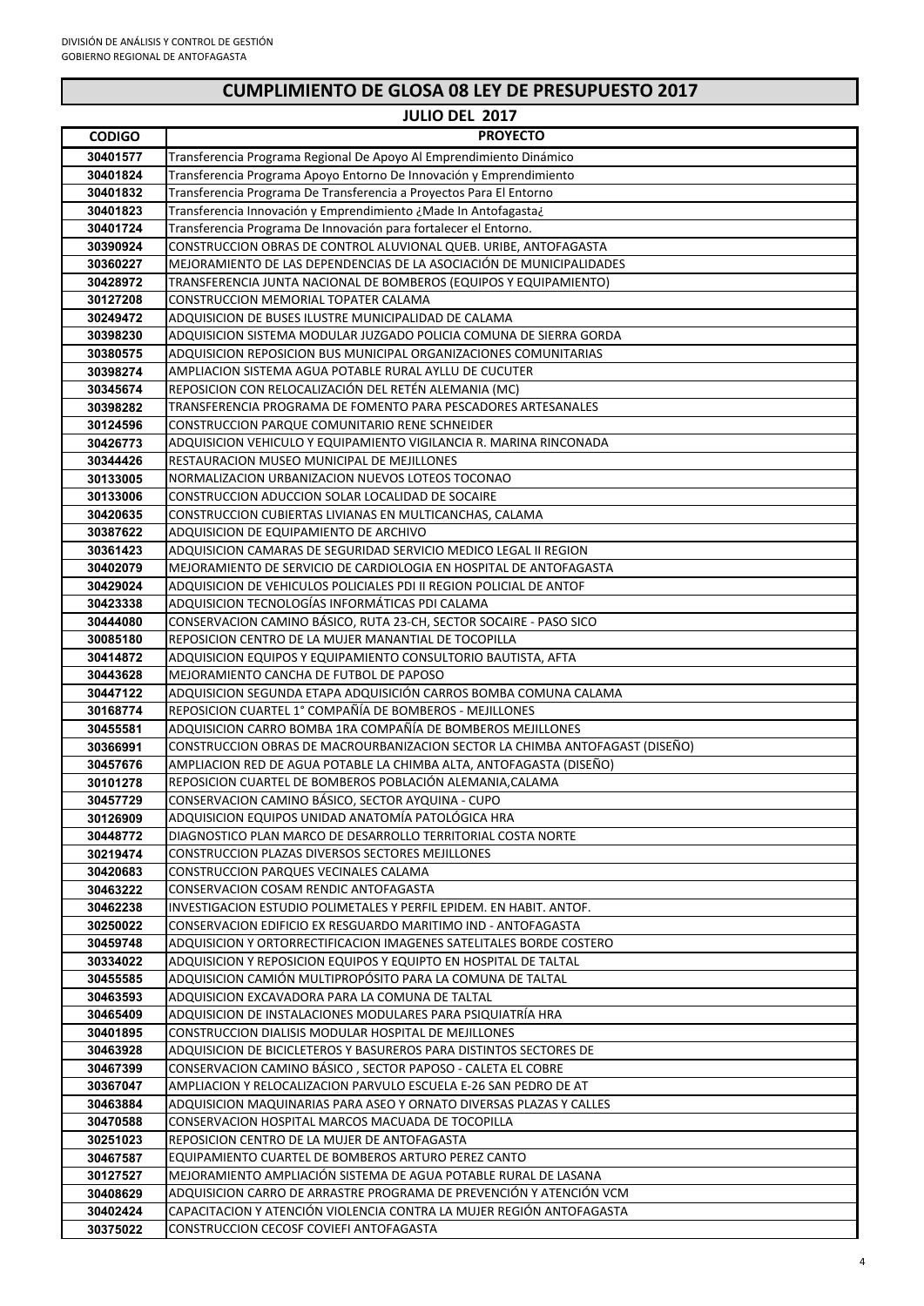**JULIO DEL 2017**

| <b>CODIGO</b>        | <b>PROYECTO</b>                                                                                                |
|----------------------|----------------------------------------------------------------------------------------------------------------|
| 30401577             | Transferencia Programa Regional De Apoyo Al Emprendimiento Dinámico                                            |
| 30401824             | Transferencia Programa Apoyo Entorno De Innovación y Emprendimiento                                            |
| 30401832             | Transferencia Programa De Transferencia a Proyectos Para El Entorno                                            |
| 30401823             | Transferencia Innovación y Emprendimiento ¿Made In Antofagasta¿                                                |
| 30401724             | Transferencia Programa De Innovación para fortalecer el Entorno.                                               |
| 30390924             | CONSTRUCCION OBRAS DE CONTROL ALUVIONAL QUEB. URIBE, ANTOFAGASTA                                               |
| 30360227             | MEJORAMIENTO DE LAS DEPENDENCIAS DE LA ASOCIACIÓN DE MUNICIPALIDADES                                           |
| 30428972             | TRANSFERENCIA JUNTA NACIONAL DE BOMBEROS (EQUIPOS Y EQUIPAMIENTO)                                              |
| 30127208             | CONSTRUCCION MEMORIAL TOPATER CALAMA                                                                           |
| 30249472             | ADQUISICION DE BUSES ILUSTRE MUNICIPALIDAD DE CALAMA                                                           |
| 30398230             | ADQUISICION SISTEMA MODULAR JUZGADO POLICIA COMUNA DE SIERRA GORDA                                             |
| 30380575             | ADQUISICION REPOSICION BUS MUNICIPAL ORGANIZACIONES COMUNITARIAS                                               |
| 30398274             | AMPLIACION SISTEMA AGUA POTABLE RURAL AYLLU DE CUCUTER                                                         |
| 30345674             | REPOSICION CON RELOCALIZACIÓN DEL RETÉN ALEMANIA (MC)                                                          |
| 30398282             | TRANSFERENCIA PROGRAMA DE FOMENTO PARA PESCADORES ARTESANALES                                                  |
| 30124596             | CONSTRUCCION PARQUE COMUNITARIO RENE SCHNEIDER                                                                 |
| 30426773             | ADQUISICION VEHICULO Y EQUIPAMIENTO VIGILANCIA R. MARINA RINCONADA                                             |
| 30344426             | RESTAURACION MUSEO MUNICIPAL DE MEJILLONES                                                                     |
| 30133005             | NORMALIZACION URBANIZACION NUEVOS LOTEOS TOCONAO                                                               |
| 30133006             | CONSTRUCCION ADUCCION SOLAR LOCALIDAD DE SOCAIRE                                                               |
| 30420635             | CONSTRUCCION CUBIERTAS LIVIANAS EN MULTICANCHAS, CALAMA                                                        |
| 30387622             | ADQUISICION DE EQUIPAMIENTO DE ARCHIVO                                                                         |
| 30361423             | ADQUISICION CAMARAS DE SEGURIDAD SERVICIO MEDICO LEGAL II REGION                                               |
| 30402079             | MEJORAMIENTO DE SERVICIO DE CARDIOLOGIA EN HOSPITAL DE ANTOFAGASTA                                             |
| 30429024             | ADQUISICION DE VEHICULOS POLICIALES PDI II REGION POLICIAL DE ANTOF                                            |
| 30423338             | ADQUISICION TECNOLOGÍAS INFORMÁTICAS PDI CALAMA                                                                |
| 30444080             | CONSERVACION CAMINO BÁSICO, RUTA 23-CH, SECTOR SOCAIRE - PASO SICO                                             |
| 30085180             | REPOSICION CENTRO DE LA MUJER MANANTIAL DE TOCOPILLA                                                           |
| 30414872             | ADQUISICION EQUIPOS Y EQUIPAMIENTO CONSULTORIO BAUTISTA, AFTA                                                  |
| 30443628             | MEJORAMIENTO CANCHA DE FUTBOL DE PAPOSO                                                                        |
| 30447122             | ADQUISICION SEGUNDA ETAPA ADQUISICIÓN CARROS BOMBA COMUNA CALAMA                                               |
| 30168774             | REPOSICION CUARTEL 1° COMPAÑÍA DE BOMBEROS - MEJILLONES                                                        |
| 30455581             | ADQUISICION CARRO BOMBA 1RA COMPAÑÍA DE BOMBEROS MEJILLONES                                                    |
| 30366991             | CONSTRUCCION OBRAS DE MACROURBANIZACION SECTOR LA CHIMBA ANTOFAGAST (DISEÑO)                                   |
| 30457676             | AMPLIACION RED DE AGUA POTABLE LA CHIMBA ALTA, ANTOFAGASTA (DISEÑO)                                            |
| 30101278<br>30457729 | REPOSICION CUARTEL DE BOMBEROS POBLACIÓN ALEMANIA, CALAMA<br>CONSERVACION CAMINO BÁSICO, SECTOR AYQUINA - CUPO |
| 30126909             | ADQUISICION EQUIPOS UNIDAD ANATOMÍA PATOLÓGICA HRA                                                             |
| 30448772             | DIAGNOSTICO PLAN MARCO DE DESARROLLO TERRITORIAL COSTA NORTE                                                   |
| 30219474             | CONSTRUCCION PLAZAS DIVERSOS SECTORES MEJILLONES                                                               |
| 30420683             | CONSTRUCCION PARQUES VECINALES CALAMA                                                                          |
| 30463222             | CONSERVACION COSAM RENDIC ANTOFAGASTA                                                                          |
| 30462238             | INVESTIGACION ESTUDIO POLIMETALES Y PERFIL EPIDEM. EN HABIT. ANTOF.                                            |
| 30250022             | CONSERVACION EDIFICIO EX RESGUARDO MARITIMO IND - ANTOFAGASTA                                                  |
| 30459748             | ADQUISICION Y ORTORRECTIFICACION IMAGENES SATELITALES BORDE COSTERO                                            |
| 30334022             | ADQUISICION Y REPOSICION EQUIPOS Y EQUIPTO EN HOSPITAL DE TALTAL                                               |
| 30455585             | ADQUISICION CAMIÓN MULTIPROPÓSITO PARA LA COMUNA DE TALTAL                                                     |
| 30463593             | ADQUISICION EXCAVADORA PARA LA COMUNA DE TALTAL                                                                |
| 30465409             | ADQUISICION DE INSTALACIONES MODULARES PARA PSIQUIATRÍA HRA                                                    |
| 30401895             | CONSTRUCCION DIALISIS MODULAR HOSPITAL DE MEJILLONES                                                           |
| 30463928             | ADQUISICION DE BICICLETEROS Y BASUREROS PARA DISTINTOS SECTORES DE                                             |
| 30467399             | CONSERVACION CAMINO BÁSICO, SECTOR PAPOSO - CALETA EL COBRE                                                    |
| 30367047             | AMPLIACION Y RELOCALIZACION PARVULO ESCUELA E-26 SAN PEDRO DE AT                                               |
| 30463884             | ADQUISICION MAQUINARIAS PARA ASEO Y ORNATO DIVERSAS PLAZAS Y CALLES                                            |
| 30470588             | CONSERVACION HOSPITAL MARCOS MACUADA DE TOCOPILLA                                                              |
| 30251023             | REPOSICION CENTRO DE LA MUJER DE ANTOFAGASTA                                                                   |
| 30467587             | EQUIPAMIENTO CUARTEL DE BOMBEROS ARTURO PEREZ CANTO                                                            |
| 30127527             | MEJORAMIENTO AMPLIACION SISTEMA DE AGUA POTABLE RURAL DE LASANA                                                |
| 30408629             | ADQUISICION CARRO DE ARRASTRE PROGRAMA DE PREVENCIÓN Y ATENCIÓN VCM                                            |
| 30402424             | CAPACITACION Y ATENCIÓN VIOLENCIA CONTRA LA MUJER REGIÓN ANTOFAGASTA                                           |
| 30375022             | CONSTRUCCION CECOSF COVIEFI ANTOFAGASTA                                                                        |